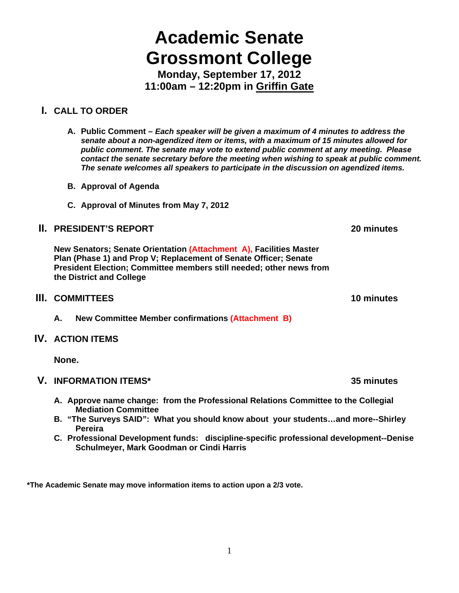# **Academic Senate Grossmont College**

**Monday, September 17, 2012 11:00am – 12:20pm in Griffin Gate** 

# **I. CALL TO ORDER**

- **A. Public Comment** *Each speaker will be given a maximum of 4 minutes to address the senate about a non-agendized item or items, with a maximum of 15 minutes allowed for public comment. The senate may vote to extend public comment at any meeting. Please contact the senate secretary before the meeting when wishing to speak at public comment. The senate welcomes all speakers to participate in the discussion on agendized items.*
- **B. Approval of Agenda**
- **C. Approval of Minutes from May 7, 2012**

## **II.** PRESIDENT'S REPORT **20** minutes

**New Senators; Senate Orientation (Attachment A), Facilities Master Plan (Phase 1) and Prop V; Replacement of Senate Officer; Senate President Election; Committee members still needed; other news from the District and College**

#### **III.** COMMITTEES 10 minutes **10 minutes**

**A. New Committee Member confirmations (Attachment B)**

## **IV. ACTION ITEMS**

**None.** 

## **V. INFORMATION ITEMS\* 35 minutes**

- **A. Approve name change: from the Professional Relations Committee to the Collegial Mediation Committee**
- **B. "The Surveys SAID": What you should know about your students…and more--Shirley Pereira**
- **C. Professional Development funds: discipline-specific professional development--Denise Schulmeyer, Mark Goodman or Cindi Harris**

**\*The Academic Senate may move information items to action upon a 2/3 vote.**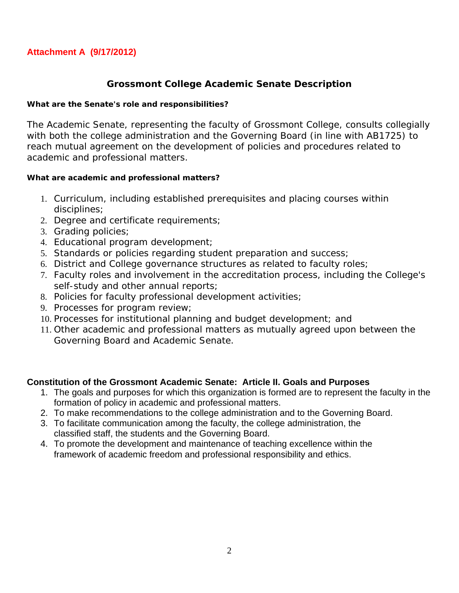## **Attachment A (9/17/2012)**

## **Grossmont College Academic Senate Description**

#### **What are the Senate's role and responsibilities?**

The Academic Senate, representing the faculty of Grossmont College, consults collegially with both the college administration and the Governing Board (in line with AB1725) to reach mutual agreement on the development of policies and procedures related to academic and professional matters.

#### **What are academic and professional matters?**

- 1. Curriculum, including established prerequisites and placing courses within disciplines;
- 2. Degree and certificate requirements;
- 3. Grading policies;
- 4. Educational program development;
- 5. Standards or policies regarding student preparation and success;
- 6. District and College governance structures as related to faculty roles;
- 7. Faculty roles and involvement in the accreditation process, including the College's self-study and other annual reports;
- 8. Policies for faculty professional development activities;
- 9. Processes for program review;
- 10. Processes for institutional planning and budget development; and
- 11. Other academic and professional matters as mutually agreed upon between the Governing Board and Academic Senate.

## **Constitution of the Grossmont Academic Senate: Article II. Goals and Purposes**

- 1. The goals and purposes for which this organization is formed are to represent the faculty in the formation of policy in academic and professional matters.
- 2. To make recommendations to the college administration and to the Governing Board.
- 3. To facilitate communication among the faculty, the college administration, the classified staff, the students and the Governing Board.
- 4. To promote the development and maintenance of teaching excellence within the framework of academic freedom and professional responsibility and ethics.